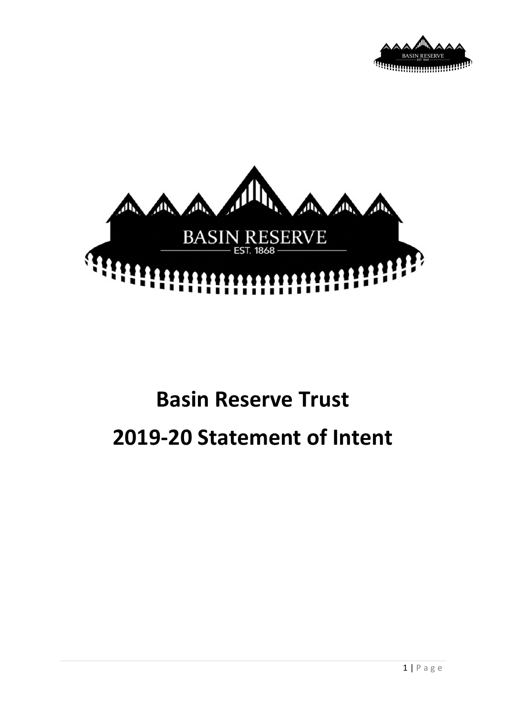



# **Basin Reserve Trust 2019-20 Statement of Intent**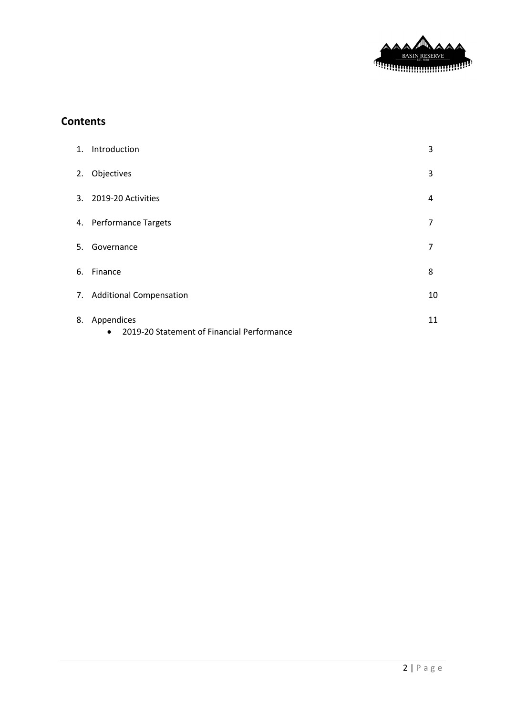

## **Contents**

| 1. Introduction                                                          | 3  |
|--------------------------------------------------------------------------|----|
| 2. Objectives                                                            | 3  |
| 3. 2019-20 Activities                                                    | 4  |
| 4. Performance Targets                                                   | 7  |
| 5. Governance                                                            | 7  |
| 6. Finance                                                               | 8  |
| 7. Additional Compensation                                               | 10 |
| 8. Appendices<br>2019-20 Statement of Financial Performance<br>$\bullet$ | 11 |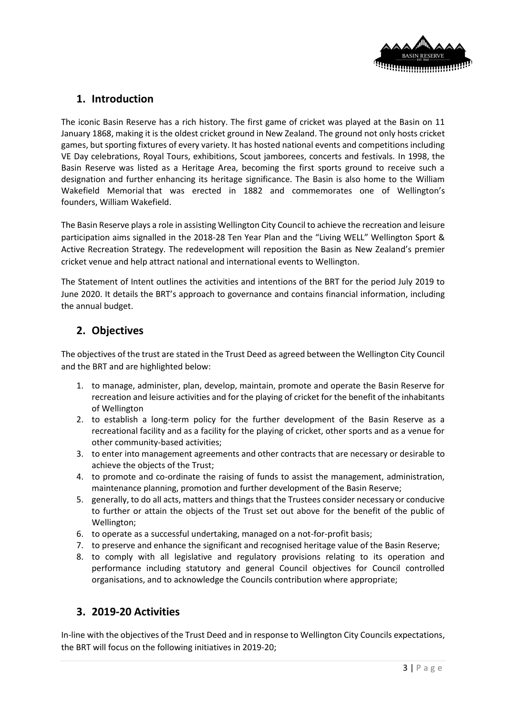

## **1. Introduction**

The iconic Basin Reserve has a rich history. The first game of cricket was played at the Basin on 11 January 1868, making it is the oldest cricket ground in New Zealand. The ground not only hosts cricket games, but sporting fixtures of every variety. It has hosted national events and competitions including VE Day celebrations, Royal Tours, exhibitions, Scout jamborees, concerts and festivals. In 1998, the Basin Reserve was listed as a Heritage Area, becoming the first sports ground to receive such a designation and further enhancing its heritage significance. The Basin is also home to the [William](https://en.wikipedia.org/wiki/William_Wakefield_Memorial)  [Wakefield Memorial](https://en.wikipedia.org/wiki/William_Wakefield_Memorial) that was erected in 1882 and commemorates one of Wellington's founders, [William Wakefield.](https://en.wikipedia.org/wiki/William_Wakefield)

The Basin Reserve plays a role in assisting Wellington City Council to achieve the recreation and leisure participation aims signalled in the 2018-28 Ten Year Plan and the "Living WELL" Wellington Sport & Active Recreation Strategy. The redevelopment will reposition the Basin as New Zealand's premier cricket venue and help attract national and international events to Wellington.

The Statement of Intent outlines the activities and intentions of the BRT for the period July 2019 to June 2020. It details the BRT's approach to governance and contains financial information, including the annual budget.

## **2. Objectives**

The objectives of the trust are stated in the Trust Deed as agreed between the Wellington City Council and the BRT and are highlighted below:

- 1. to manage, administer, plan, develop, maintain, promote and operate the Basin Reserve for recreation and leisure activities and for the playing of cricket for the benefit of the inhabitants of Wellington
- 2. to establish a long-term policy for the further development of the Basin Reserve as a recreational facility and as a facility for the playing of cricket, other sports and as a venue for other community-based activities;
- 3. to enter into management agreements and other contracts that are necessary or desirable to achieve the objects of the Trust;
- 4. to promote and co-ordinate the raising of funds to assist the management, administration, maintenance planning, promotion and further development of the Basin Reserve;
- 5. generally, to do all acts, matters and things that the Trustees consider necessary or conducive to further or attain the objects of the Trust set out above for the benefit of the public of Wellington;
- 6. to operate as a successful undertaking, managed on a not-for-profit basis;
- 7. to preserve and enhance the significant and recognised heritage value of the Basin Reserve;
- 8. to comply with all legislative and regulatory provisions relating to its operation and performance including statutory and general Council objectives for Council controlled organisations, and to acknowledge the Councils contribution where appropriate;

## **3. 2019-20 Activities**

In-line with the objectives of the Trust Deed and in response to Wellington City Councils expectations, the BRT will focus on the following initiatives in 2019-20;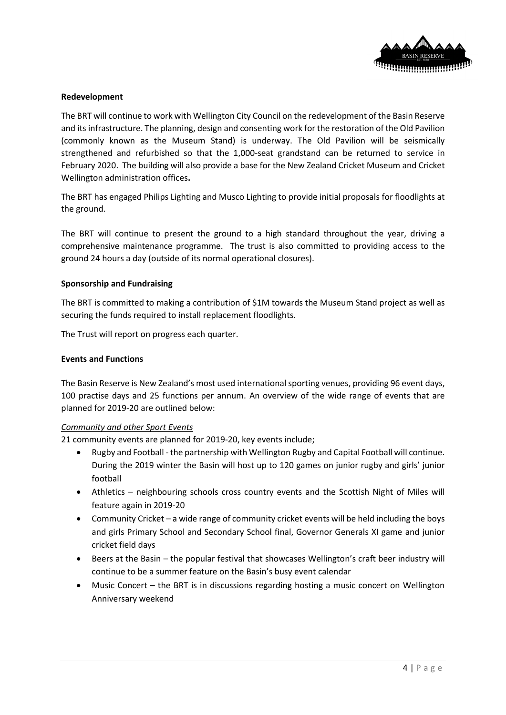

## **Redevelopment**

The BRT will continue to work with Wellington City Council on the redevelopment of the Basin Reserve and its infrastructure. The planning, design and consenting work for the restoration of the Old Pavilion (commonly known as the Museum Stand) is underway. The Old Pavilion will be seismically strengthened and refurbished so that the 1,000-seat grandstand can be returned to service in February 2020. The building will also provide a base for the New Zealand Cricket Museum and Cricket Wellington administration offices**.** 

The BRT has engaged Philips Lighting and Musco Lighting to provide initial proposals for floodlights at the ground.

The BRT will continue to present the ground to a high standard throughout the year, driving a comprehensive maintenance programme. The trust is also committed to providing access to the ground 24 hours a day (outside of its normal operational closures).

#### **Sponsorship and Fundraising**

The BRT is committed to making a contribution of \$1M towards the Museum Stand project as well as securing the funds required to install replacement floodlights.

The Trust will report on progress each quarter.

#### **Events and Functions**

The Basin Reserve is New Zealand's most used international sporting venues, providing 96 event days, 100 practise days and 25 functions per annum. An overview of the wide range of events that are planned for 2019-20 are outlined below:

#### *Community and other Sport Events*

21 community events are planned for 2019-20, key events include;

- Rugby and Football the partnership with Wellington Rugby and Capital Football will continue. During the 2019 winter the Basin will host up to 120 games on junior rugby and girls' junior football
- Athletics neighbouring schools cross country events and the Scottish Night of Miles will feature again in 2019-20
- Community Cricket a wide range of community cricket events will be held including the boys and girls Primary School and Secondary School final, Governor Generals XI game and junior cricket field days
- Beers at the Basin the popular festival that showcases Wellington's craft beer industry will continue to be a summer feature on the Basin's busy event calendar
- Music Concert the BRT is in discussions regarding hosting a music concert on Wellington Anniversary weekend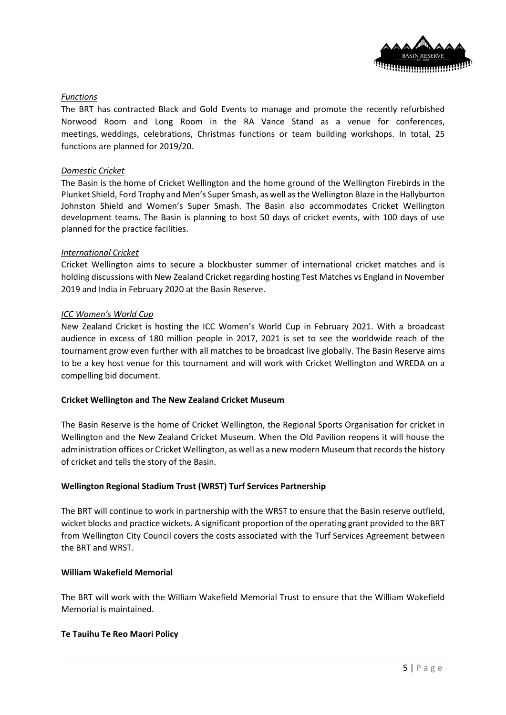

## *Functions*

The BRT has contracted Black and Gold Events to manage and promote the recently refurbished Norwood Room and Long Room in the RA Vance Stand as a venue for conferences, meetings, weddings, celebrations, Christmas functions or team building workshops. In total, 25 functions are planned for 2019/20.

## *Domestic Cricket*

The Basin is the home of Cricket Wellington and the home ground of the Wellington Firebirds in the Plunket Shield, Ford Trophy and Men's Super Smash, as well as the Wellington Blaze in the Hallyburton Johnston Shield and Women's Super Smash. The Basin also accommodates Cricket Wellington development teams. The Basin is planning to host 50 days of cricket events, with 100 days of use planned for the practice facilities.

#### *International Cricket*

Cricket Wellington aims to secure a blockbuster summer of international cricket matches and is holding discussions with New Zealand Cricket regarding hosting Test Matches vs England in November 2019 and India in February 2020 at the Basin Reserve.

#### *ICC Women's World Cup*

New Zealand Cricket is hosting the ICC Women's World Cup in February 2021. With a broadcast audience in excess of 180 million people in 2017, 2021 is set to see the worldwide reach of the tournament grow even further with all matches to be broadcast live globally. The Basin Reserve aims to be a key host venue for this tournament and will work with Cricket Wellington and WREDA on a compelling bid document.

## **Cricket Wellington and The New Zealand Cricket Museum**

The Basin Reserve is the home of Cricket Wellington, the Regional Sports Organisation for cricket in Wellington and the New Zealand Cricket Museum. When the Old Pavilion reopens it will house the administration offices or Cricket Wellington, as well as a new modern Museum that records the history of cricket and tells the story of the Basin.

## **Wellington Regional Stadium Trust (WRST) Turf Services Partnership**

The BRT will continue to work in partnership with the WRST to ensure that the Basin reserve outfield, wicket blocks and practice wickets. A significant proportion of the operating grant provided to the BRT from Wellington City Council covers the costs associated with the Turf Services Agreement between the BRT and WRST.

## **[William Wakefield Memorial](https://en.wikipedia.org/wiki/William_Wakefield_Memorial)**

The BRT will work with the William Wakefield Memorial Trust to ensure that the William Wakefield Memorial is maintained.

## **Te Tauihu Te Reo Maori Policy**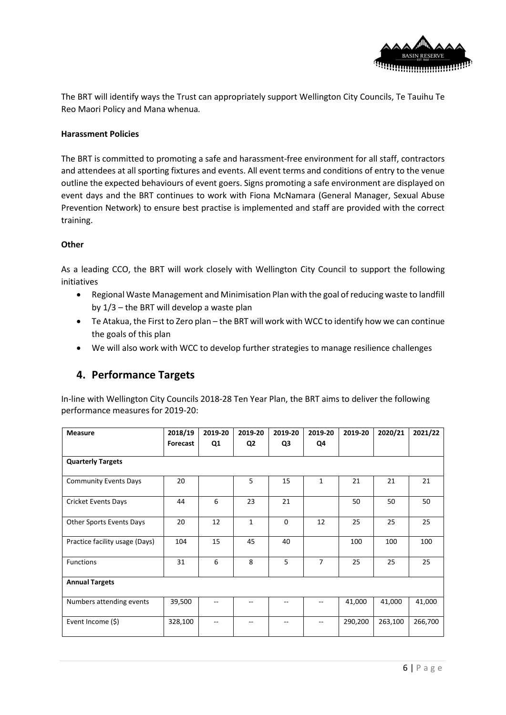

The BRT will identify ways the Trust can appropriately support Wellington City Councils, Te Tauihu Te Reo Maori Policy and Mana whenua*.*

## **Harassment Policies**

The BRT is committed to promoting a safe and harassment-free environment for all staff, contractors and attendees at all sporting fixtures and events. All event terms and conditions of entry to the venue outline the expected behaviours of event goers. Signs promoting a safe environment are displayed on event days and the BRT continues to work with Fiona McNamara (General Manager, Sexual Abuse Prevention Network) to ensure best practise is implemented and staff are provided with the correct training.

## **Other**

As a leading CCO, the BRT will work closely with Wellington City Council to support the following initiatives

- Regional Waste Management and Minimisation Plan with the goal of reducing waste to landfill by 1/3 – the BRT will develop a waste plan
- Te Atakua, the First to Zero plan the BRT will work with WCC to identify how we can continue the goals of this plan
- We will also work with WCC to develop further strategies to manage resilience challenges

## **4. Performance Targets**

In-line with Wellington City Councils 2018-28 Ten Year Plan, the BRT aims to deliver the following performance measures for 2019-20:

| <b>Measure</b>                 | 2018/19  | 2019-20 | 2019-20        | 2019-20     | 2019-20        | 2019-20 | 2020/21 | 2021/22 |  |
|--------------------------------|----------|---------|----------------|-------------|----------------|---------|---------|---------|--|
|                                | Forecast | Q1      | Q <sub>2</sub> | Q3          | Q4             |         |         |         |  |
| <b>Quarterly Targets</b>       |          |         |                |             |                |         |         |         |  |
| <b>Community Events Days</b>   | 20       |         | 5              | 15          | $\mathbf{1}$   | 21      | 21      | 21      |  |
| <b>Cricket Events Days</b>     | 44       | 6       | 23             | 21          |                | 50      | 50      | 50      |  |
| Other Sports Events Days       | 20       | 12      | $\mathbf{1}$   | $\mathbf 0$ | 12             | 25      | 25      | 25      |  |
| Practice facility usage (Days) | 104      | 15      | 45             | 40          |                | 100     | 100     | 100     |  |
| <b>Functions</b>               | 31       | 6       | 8              | 5           | $\overline{7}$ | 25      | 25      | 25      |  |
| <b>Annual Targets</b>          |          |         |                |             |                |         |         |         |  |
| Numbers attending events       | 39,500   |         |                |             |                | 41,000  | 41,000  | 41,000  |  |
| Event Income (\$)              | 328,100  | --      | --             | --          | $-$            | 290,200 | 263,100 | 266,700 |  |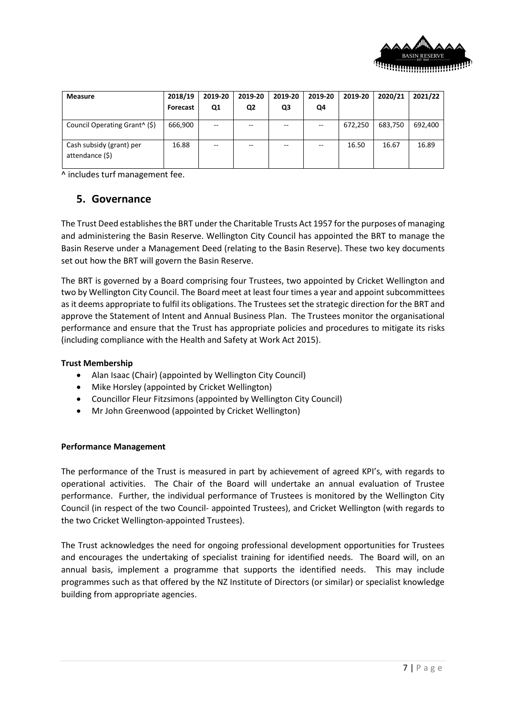

| <b>Measure</b>                              | 2018/19<br>Forecast | 2019-20<br>Q1 | 2019-20<br>Q <sub>2</sub> | 2019-20<br>Q3 | 2019-20<br>Q4 | 2019-20 | 2020/21 | 2021/22 |
|---------------------------------------------|---------------------|---------------|---------------------------|---------------|---------------|---------|---------|---------|
| Council Operating Grant <sup>^</sup> (\$)   | 666,900             | $- -$         | --                        |               | $-$           | 672,250 | 683,750 | 692,400 |
| Cash subsidy (grant) per<br>attendance (\$) | 16.88               | $- -$         | $-$                       |               | --            | 16.50   | 16.67   | 16.89   |

^ includes turf management fee.

## **5. Governance**

The Trust Deed establishes the BRT under the Charitable Trusts Act 1957 for the purposes of managing and administering the Basin Reserve. Wellington City Council has appointed the BRT to manage the Basin Reserve under a Management Deed (relating to the Basin Reserve). These two key documents set out how the BRT will govern the Basin Reserve.

The BRT is governed by a Board comprising four Trustees, two appointed by Cricket Wellington and two by Wellington City Council. The Board meet at least four times a year and appoint subcommittees as it deems appropriate to fulfil its obligations. The Trustees set the strategic direction for the BRT and approve the Statement of Intent and Annual Business Plan. The Trustees monitor the organisational performance and ensure that the Trust has appropriate policies and procedures to mitigate its risks (including compliance with the Health and Safety at Work Act 2015).

## **Trust Membership**

- Alan Isaac (Chair) (appointed by Wellington City Council)
- Mike Horsley (appointed by Cricket Wellington)
- Councillor Fleur Fitzsimons (appointed by Wellington City Council)
- Mr John Greenwood (appointed by Cricket Wellington)

## **Performance Management**

The performance of the Trust is measured in part by achievement of agreed KPI's, with regards to operational activities. The Chair of the Board will undertake an annual evaluation of Trustee performance. Further, the individual performance of Trustees is monitored by the Wellington City Council (in respect of the two Council- appointed Trustees), and Cricket Wellington (with regards to the two Cricket Wellington-appointed Trustees).

The Trust acknowledges the need for ongoing professional development opportunities for Trustees and encourages the undertaking of specialist training for identified needs. The Board will, on an annual basis, implement a programme that supports the identified needs. This may include programmes such as that offered by the NZ Institute of Directors (or similar) or specialist knowledge building from appropriate agencies.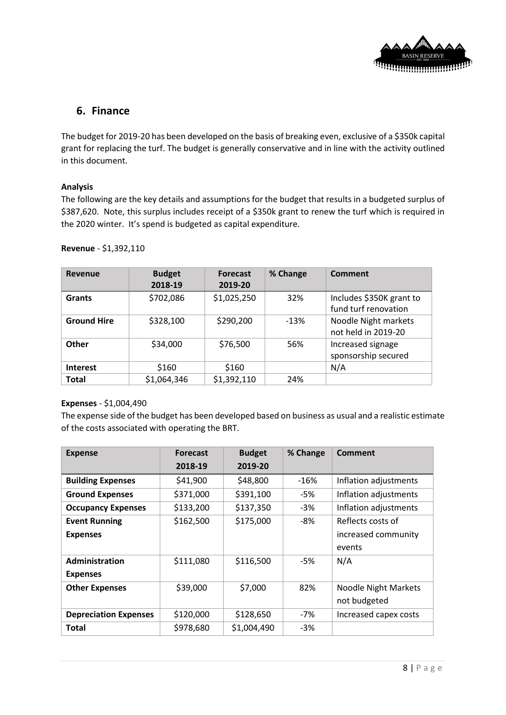

## **6. Finance**

The budget for 2019-20 has been developed on the basis of breaking even, exclusive of a \$350k capital grant for replacing the turf. The budget is generally conservative and in line with the activity outlined in this document.

## **Analysis**

The following are the key details and assumptions for the budget that results in a budgeted surplus of \$387,620. Note, this surplus includes receipt of a \$350k grant to renew the turf which is required in the 2020 winter. It's spend is budgeted as capital expenditure.

| Revenue            | <b>Budget</b> | <b>Forecast</b> | % Change | Comment                  |
|--------------------|---------------|-----------------|----------|--------------------------|
|                    | 2018-19       | 2019-20         |          |                          |
| <b>Grants</b>      | \$702,086     | \$1,025,250     | 32%      | Includes \$350K grant to |
|                    |               |                 |          | fund turf renovation     |
| <b>Ground Hire</b> | \$328,100     | \$290,200       | $-13%$   | Noodle Night markets     |
|                    |               |                 |          | not held in 2019-20      |
| Other              | \$34,000      | \$76,500        | 56%      | Increased signage        |
|                    |               |                 |          | sponsorship secured      |
| <b>Interest</b>    | \$160         | \$160           |          | N/A                      |
| <b>Total</b>       | \$1,064,346   | \$1,392,110     | 24%      |                          |

#### **Revenue** - \$1,392,110

## **Expenses** - \$1,004,490

The expense side of the budget has been developed based on business as usual and a realistic estimate of the costs associated with operating the BRT.

| <b>Expense</b>               | <b>Forecast</b> | <b>Budget</b>      | % Change | <b>Comment</b>              |  |
|------------------------------|-----------------|--------------------|----------|-----------------------------|--|
|                              | 2018-19         | 2019-20            |          |                             |  |
| <b>Building Expenses</b>     | \$41,900        | \$48,800           | $-16%$   | Inflation adjustments       |  |
| <b>Ground Expenses</b>       | \$371,000       | \$391,100          | -5%      | Inflation adjustments       |  |
| <b>Occupancy Expenses</b>    | \$133,200       | \$137,350<br>$-3%$ |          | Inflation adjustments       |  |
| <b>Event Running</b>         | \$162,500       | \$175,000          | -8%      | Reflects costs of           |  |
| <b>Expenses</b>              |                 |                    |          | increased community         |  |
|                              |                 |                    |          | events                      |  |
| Administration               | \$111,080       | \$116,500          | -5%      | N/A                         |  |
| <b>Expenses</b>              |                 |                    |          |                             |  |
| <b>Other Expenses</b>        | \$39,000        | \$7,000            | 82%      | <b>Noodle Night Markets</b> |  |
|                              |                 |                    |          | not budgeted                |  |
| <b>Depreciation Expenses</b> | \$120,000       | \$128,650          | $-7%$    | Increased capex costs       |  |
| <b>Total</b>                 | \$978,680       | \$1,004,490        | $-3%$    |                             |  |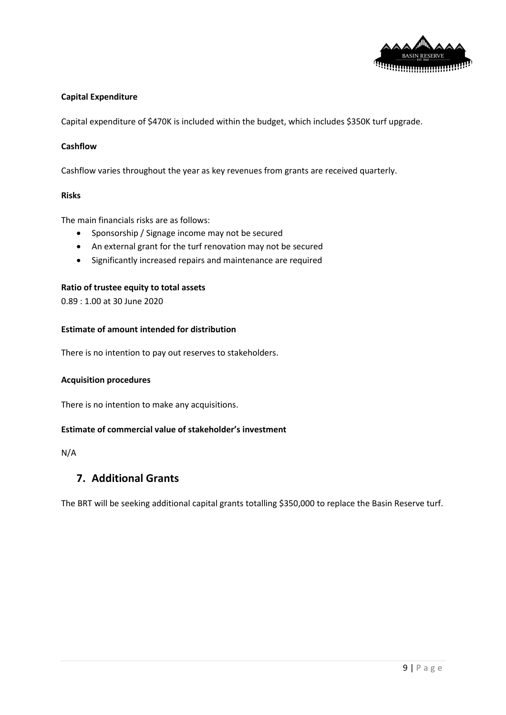

## **Capital Expenditure**

Capital expenditure of \$470K is included within the budget, which includes \$350K turf upgrade.

## **Cashflow**

Cashflow varies throughout the year as key revenues from grants are received quarterly.

#### **Risks**

The main financials risks are as follows:

- Sponsorship / Signage income may not be secured
- An external grant for the turf renovation may not be secured
- Significantly increased repairs and maintenance are required

## **Ratio of trustee equity to total assets**

0.89 : 1.00 at 30 June 2020

## **Estimate of amount intended for distribution**

There is no intention to pay out reserves to stakeholders.

#### **Acquisition procedures**

There is no intention to make any acquisitions.

## **Estimate of commercial value of stakeholder's investment**

N/A

## **7. Additional Grants**

The BRT will be seeking additional capital grants totalling \$350,000 to replace the Basin Reserve turf.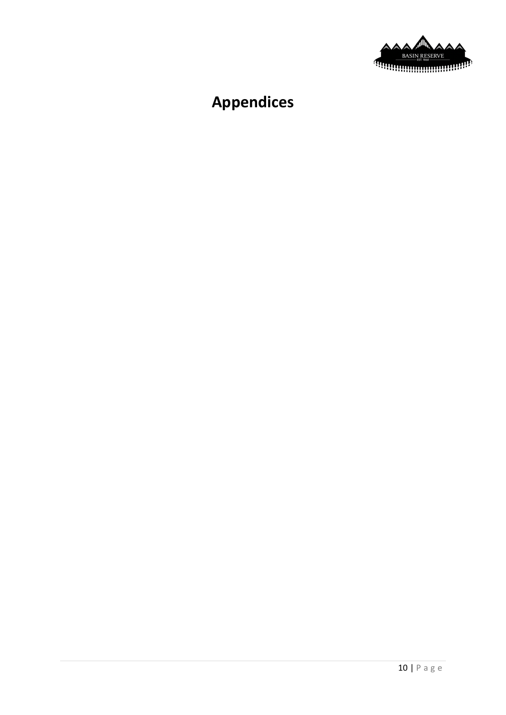

## **Appendices**